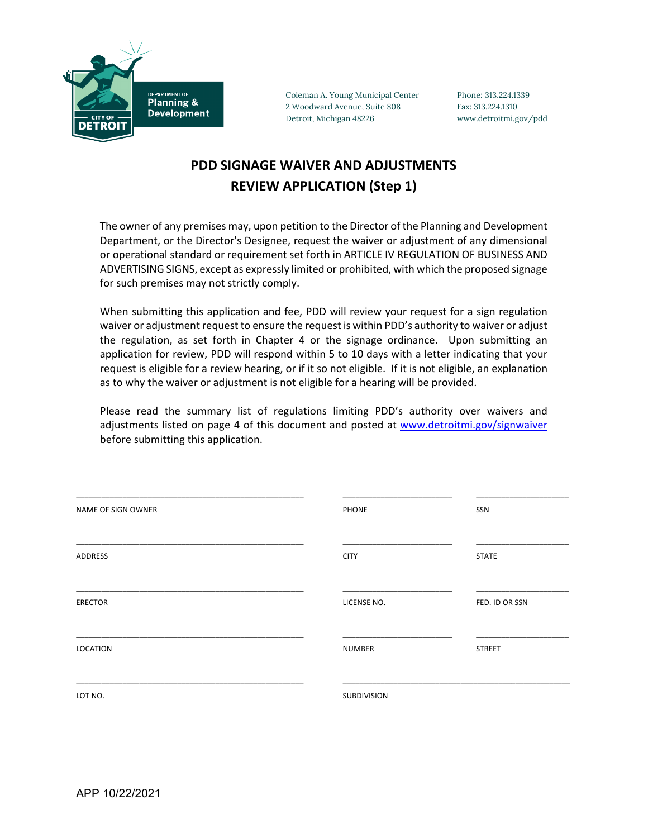

Coleman A. Young Municipal Center Phone: 313.224.1339 2 Woodward Avenue, Suite 808 Fax: 313.224.1310 Detroit, Michigan 48226 www.detroitmi.gov/pdd

## **PDD SIGNAGE WAIVER AND ADJUSTMENTS REVIEW APPLICATION (Step 1)**

The owner of any premises may, upon petition to the Director of the Planning and Development Department, or the Director's Designee, request the waiver or adjustment of any dimensional or operational standard or requirement set forth in ARTICLE IV REGULATION OF BUSINESS AND ADVERTISING SIGNS, except as expressly limited or prohibited, with which the proposed signage for such premises may not strictly comply.

When submitting this application and fee, PDD will review your request for a sign regulation waiver or adjustment request to ensure the request is within PDD's authority to waiver or adjust the regulation, as set forth in Chapter 4 or the signage ordinance. Upon submitting an application for review, PDD will respond within 5 to 10 days with a letter indicating that your request is eligible for a review hearing, or if it so not eligible. If it is not eligible, an explanation as to why the waiver or adjustment is not eligible for a hearing will be provided.

Please read the summary list of regulations limiting PDD's authority over waivers and adjustments listed on page 4 of this document and posted at [www.detroitmi.gov/signwaiver](http://www.detroitmi.gov/signwaiver) before submitting this application.

| NAME OF SIGN OWNER | PHONE         | SSN            |
|--------------------|---------------|----------------|
| ADDRESS            | <b>CITY</b>   | <b>STATE</b>   |
| <b>ERECTOR</b>     | LICENSE NO.   | FED. ID OR SSN |
| LOCATION           | <b>NUMBER</b> | <b>STREET</b>  |
| LOT NO.            | SUBDIVISION   |                |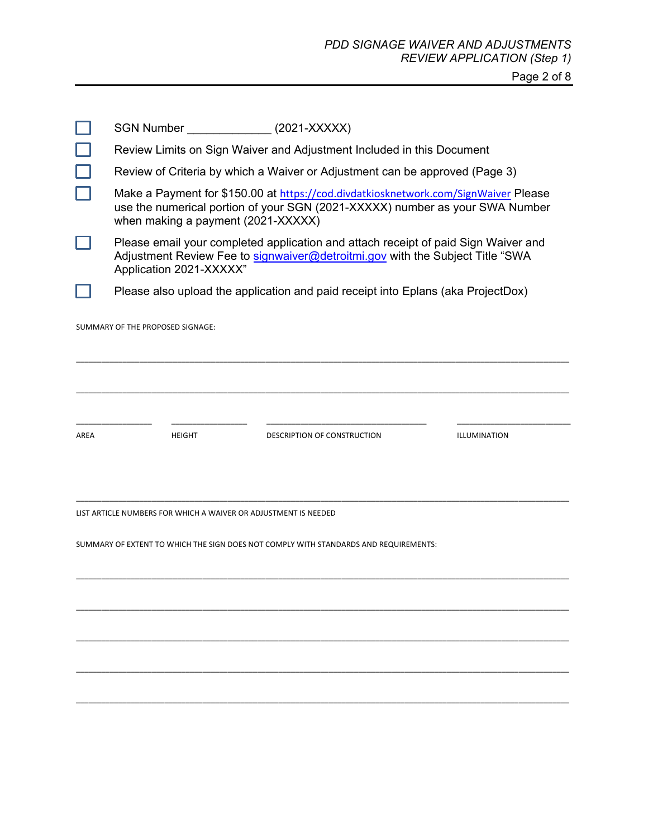Page 2 of 8

|                                                                                      | <b>SGN Number</b>                                                                                                                                                                                         |               | $(2021-XXXXX)$              |              |  |
|--------------------------------------------------------------------------------------|-----------------------------------------------------------------------------------------------------------------------------------------------------------------------------------------------------------|---------------|-----------------------------|--------------|--|
|                                                                                      | Review Limits on Sign Waiver and Adjustment Included in this Document                                                                                                                                     |               |                             |              |  |
|                                                                                      | Review of Criteria by which a Waiver or Adjustment can be approved (Page 3)                                                                                                                               |               |                             |              |  |
|                                                                                      | Make a Payment for \$150.00 at https://cod.divdatkiosknetwork.com/SignWaiver Please<br>use the numerical portion of your SGN (2021-XXXXX) number as your SWA Number<br>when making a payment (2021-XXXXX) |               |                             |              |  |
|                                                                                      | Please email your completed application and attach receipt of paid Sign Waiver and<br>Adjustment Review Fee to signwaiver@detroitmi.gov with the Subject Title "SWA<br>Application 2021-XXXXX"            |               |                             |              |  |
|                                                                                      | Please also upload the application and paid receipt into Eplans (aka ProjectDox)                                                                                                                          |               |                             |              |  |
| SUMMARY OF THE PROPOSED SIGNAGE:                                                     |                                                                                                                                                                                                           |               |                             |              |  |
|                                                                                      |                                                                                                                                                                                                           |               |                             |              |  |
|                                                                                      |                                                                                                                                                                                                           |               |                             |              |  |
| AREA                                                                                 |                                                                                                                                                                                                           | <b>HEIGHT</b> | DESCRIPTION OF CONSTRUCTION | ILLUMINATION |  |
|                                                                                      |                                                                                                                                                                                                           |               |                             |              |  |
| LIST ARTICLE NUMBERS FOR WHICH A WAIVER OR ADJUSTMENT IS NEEDED                      |                                                                                                                                                                                                           |               |                             |              |  |
| SUMMARY OF EXTENT TO WHICH THE SIGN DOES NOT COMPLY WITH STANDARDS AND REQUIREMENTS: |                                                                                                                                                                                                           |               |                             |              |  |
|                                                                                      |                                                                                                                                                                                                           |               |                             |              |  |
|                                                                                      |                                                                                                                                                                                                           |               |                             |              |  |
|                                                                                      |                                                                                                                                                                                                           |               |                             |              |  |
|                                                                                      |                                                                                                                                                                                                           |               |                             |              |  |
|                                                                                      |                                                                                                                                                                                                           |               |                             |              |  |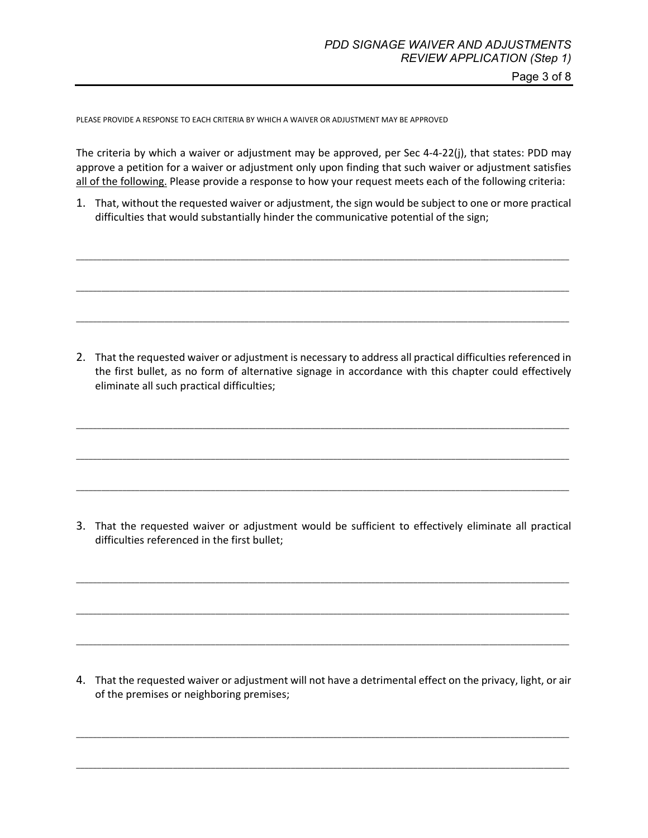Page 3 of 8

PLEASE PROVIDE A RESPONSE TO EACH CRITERIA BY WHICH A WAIVER OR ADJUSTMENT MAY BE APPROVED

The criteria by which a waiver or adjustment may be approved, per Sec 4-4-22(j), that states: PDD may approve a petition for a waiver or adjustment only upon finding that such waiver or adjustment satisfies all of the following. Please provide a response to how your request meets each of the following criteria:

1. That, without the requested waiver or adjustment, the sign would be subject to one or more practical difficulties that would substantially hinder the communicative potential of the sign;

\_\_\_\_\_\_\_\_\_\_\_\_\_\_\_\_\_\_\_\_\_\_\_\_\_\_\_\_\_\_\_\_\_\_\_\_\_\_\_\_\_\_\_\_\_\_\_\_\_\_\_\_\_\_\_\_\_\_\_\_\_\_\_\_\_\_\_\_\_\_\_\_\_\_\_\_\_\_\_\_\_\_\_\_\_\_\_\_\_\_\_\_\_\_\_\_\_\_\_\_\_\_\_\_\_\_\_\_\_\_\_\_\_\_\_\_\_

\_\_\_\_\_\_\_\_\_\_\_\_\_\_\_\_\_\_\_\_\_\_\_\_\_\_\_\_\_\_\_\_\_\_\_\_\_\_\_\_\_\_\_\_\_\_\_\_\_\_\_\_\_\_\_\_\_\_\_\_\_\_\_\_\_\_\_\_\_\_\_\_\_\_\_\_\_\_\_\_\_\_\_\_\_\_\_\_\_\_\_\_\_\_\_\_\_\_\_\_\_\_\_\_\_\_\_\_\_\_\_\_\_\_\_\_\_

\_\_\_\_\_\_\_\_\_\_\_\_\_\_\_\_\_\_\_\_\_\_\_\_\_\_\_\_\_\_\_\_\_\_\_\_\_\_\_\_\_\_\_\_\_\_\_\_\_\_\_\_\_\_\_\_\_\_\_\_\_\_\_\_\_\_\_\_\_\_\_\_\_\_\_\_\_\_\_\_\_\_\_\_\_\_\_\_\_\_\_\_\_\_\_\_\_\_\_\_\_\_\_\_\_\_\_\_\_\_\_\_\_\_\_\_\_

2. That the requested waiver or adjustment is necessary to address all practical difficulties referenced in the first bullet, as no form of alternative signage in accordance with this chapter could effectively eliminate all such practical difficulties;

\_\_\_\_\_\_\_\_\_\_\_\_\_\_\_\_\_\_\_\_\_\_\_\_\_\_\_\_\_\_\_\_\_\_\_\_\_\_\_\_\_\_\_\_\_\_\_\_\_\_\_\_\_\_\_\_\_\_\_\_\_\_\_\_\_\_\_\_\_\_\_\_\_\_\_\_\_\_\_\_\_\_\_\_\_\_\_\_\_\_\_\_\_\_\_\_\_\_\_\_\_\_\_\_\_\_\_\_\_\_\_\_\_\_\_\_\_

\_\_\_\_\_\_\_\_\_\_\_\_\_\_\_\_\_\_\_\_\_\_\_\_\_\_\_\_\_\_\_\_\_\_\_\_\_\_\_\_\_\_\_\_\_\_\_\_\_\_\_\_\_\_\_\_\_\_\_\_\_\_\_\_\_\_\_\_\_\_\_\_\_\_\_\_\_\_\_\_\_\_\_\_\_\_\_\_\_\_\_\_\_\_\_\_\_\_\_\_\_\_\_\_\_\_\_\_\_\_\_\_\_\_\_\_\_

\_\_\_\_\_\_\_\_\_\_\_\_\_\_\_\_\_\_\_\_\_\_\_\_\_\_\_\_\_\_\_\_\_\_\_\_\_\_\_\_\_\_\_\_\_\_\_\_\_\_\_\_\_\_\_\_\_\_\_\_\_\_\_\_\_\_\_\_\_\_\_\_\_\_\_\_\_\_\_\_\_\_\_\_\_\_\_\_\_\_\_\_\_\_\_\_\_\_\_\_\_\_\_\_\_\_\_\_\_\_\_\_\_\_\_\_\_

3. That the requested waiver or adjustment would be sufficient to effectively eliminate all practical difficulties referenced in the first bullet;

\_\_\_\_\_\_\_\_\_\_\_\_\_\_\_\_\_\_\_\_\_\_\_\_\_\_\_\_\_\_\_\_\_\_\_\_\_\_\_\_\_\_\_\_\_\_\_\_\_\_\_\_\_\_\_\_\_\_\_\_\_\_\_\_\_\_\_\_\_\_\_\_\_\_\_\_\_\_\_\_\_\_\_\_\_\_\_\_\_\_\_\_\_\_\_\_\_\_\_\_\_\_\_\_\_\_\_\_\_\_\_\_\_\_\_\_\_

\_\_\_\_\_\_\_\_\_\_\_\_\_\_\_\_\_\_\_\_\_\_\_\_\_\_\_\_\_\_\_\_\_\_\_\_\_\_\_\_\_\_\_\_\_\_\_\_\_\_\_\_\_\_\_\_\_\_\_\_\_\_\_\_\_\_\_\_\_\_\_\_\_\_\_\_\_\_\_\_\_\_\_\_\_\_\_\_\_\_\_\_\_\_\_\_\_\_\_\_\_\_\_\_\_\_\_\_\_\_\_\_\_\_\_\_\_

\_\_\_\_\_\_\_\_\_\_\_\_\_\_\_\_\_\_\_\_\_\_\_\_\_\_\_\_\_\_\_\_\_\_\_\_\_\_\_\_\_\_\_\_\_\_\_\_\_\_\_\_\_\_\_\_\_\_\_\_\_\_\_\_\_\_\_\_\_\_\_\_\_\_\_\_\_\_\_\_\_\_\_\_\_\_\_\_\_\_\_\_\_\_\_\_\_\_\_\_\_\_\_\_\_\_\_\_\_\_\_\_\_\_\_\_\_

4. That the requested waiver or adjustment will not have a detrimental effect on the privacy, light, or air of the premises or neighboring premises;

\_\_\_\_\_\_\_\_\_\_\_\_\_\_\_\_\_\_\_\_\_\_\_\_\_\_\_\_\_\_\_\_\_\_\_\_\_\_\_\_\_\_\_\_\_\_\_\_\_\_\_\_\_\_\_\_\_\_\_\_\_\_\_\_\_\_\_\_\_\_\_\_\_\_\_\_\_\_\_\_\_\_\_\_\_\_\_\_\_\_\_\_\_\_\_\_\_\_\_\_\_\_\_\_\_\_\_\_\_\_\_\_\_\_\_\_\_

\_\_\_\_\_\_\_\_\_\_\_\_\_\_\_\_\_\_\_\_\_\_\_\_\_\_\_\_\_\_\_\_\_\_\_\_\_\_\_\_\_\_\_\_\_\_\_\_\_\_\_\_\_\_\_\_\_\_\_\_\_\_\_\_\_\_\_\_\_\_\_\_\_\_\_\_\_\_\_\_\_\_\_\_\_\_\_\_\_\_\_\_\_\_\_\_\_\_\_\_\_\_\_\_\_\_\_\_\_\_\_\_\_\_\_\_\_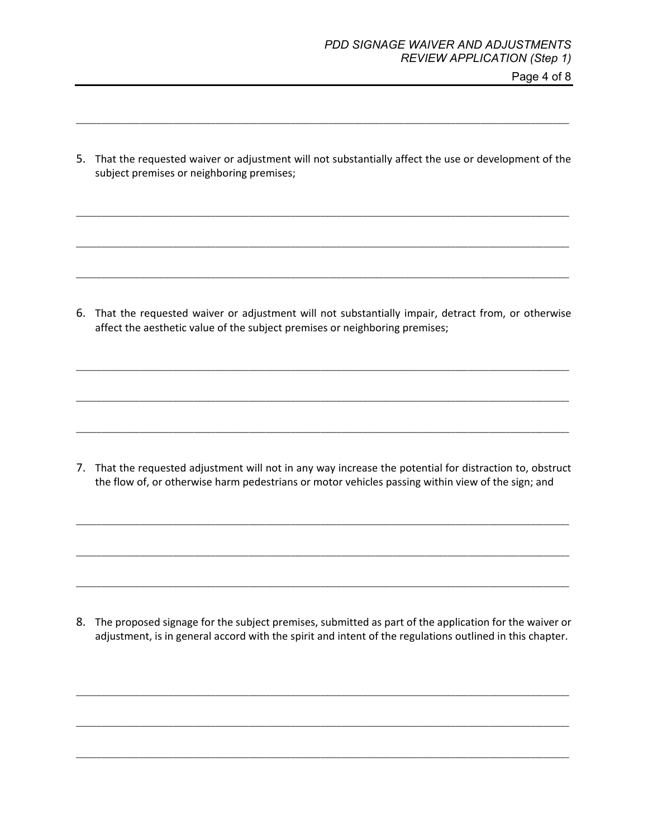Page 4 of 8

5. That the requested waiver or adjustment will not substantially affect the use or development of the subject premises or neighboring premises;

\_\_\_\_\_\_\_\_\_\_\_\_\_\_\_\_\_\_\_\_\_\_\_\_\_\_\_\_\_\_\_\_\_\_\_\_\_\_\_\_\_\_\_\_\_\_\_\_\_\_\_\_\_\_\_\_\_\_\_\_\_\_\_\_\_\_\_\_\_\_\_\_\_\_\_\_\_\_\_\_\_\_\_\_\_\_\_\_\_\_\_\_\_\_\_\_\_\_\_\_\_\_\_\_\_\_\_\_\_\_\_\_\_\_\_\_\_

\_\_\_\_\_\_\_\_\_\_\_\_\_\_\_\_\_\_\_\_\_\_\_\_\_\_\_\_\_\_\_\_\_\_\_\_\_\_\_\_\_\_\_\_\_\_\_\_\_\_\_\_\_\_\_\_\_\_\_\_\_\_\_\_\_\_\_\_\_\_\_\_\_\_\_\_\_\_\_\_\_\_\_\_\_\_\_\_\_\_\_\_\_\_\_\_\_\_\_\_\_\_\_\_\_\_\_\_\_\_\_\_\_\_\_\_\_

\_\_\_\_\_\_\_\_\_\_\_\_\_\_\_\_\_\_\_\_\_\_\_\_\_\_\_\_\_\_\_\_\_\_\_\_\_\_\_\_\_\_\_\_\_\_\_\_\_\_\_\_\_\_\_\_\_\_\_\_\_\_\_\_\_\_\_\_\_\_\_\_\_\_\_\_\_\_\_\_\_\_\_\_\_\_\_\_\_\_\_\_\_\_\_\_\_\_\_\_\_\_\_\_\_\_\_\_\_\_\_\_\_\_\_\_\_

\_\_\_\_\_\_\_\_\_\_\_\_\_\_\_\_\_\_\_\_\_\_\_\_\_\_\_\_\_\_\_\_\_\_\_\_\_\_\_\_\_\_\_\_\_\_\_\_\_\_\_\_\_\_\_\_\_\_\_\_\_\_\_\_\_\_\_\_\_\_\_\_\_\_\_\_\_\_\_\_\_\_\_\_\_\_\_\_\_\_\_\_\_\_\_\_\_\_\_\_\_\_\_\_\_\_\_\_\_\_\_\_\_\_\_\_\_

6. That the requested waiver or adjustment will not substantially impair, detract from, or otherwise affect the aesthetic value of the subject premises or neighboring premises;

\_\_\_\_\_\_\_\_\_\_\_\_\_\_\_\_\_\_\_\_\_\_\_\_\_\_\_\_\_\_\_\_\_\_\_\_\_\_\_\_\_\_\_\_\_\_\_\_\_\_\_\_\_\_\_\_\_\_\_\_\_\_\_\_\_\_\_\_\_\_\_\_\_\_\_\_\_\_\_\_\_\_\_\_\_\_\_\_\_\_\_\_\_\_\_\_\_\_\_\_\_\_\_\_\_\_\_\_\_\_\_\_\_\_\_\_\_

\_\_\_\_\_\_\_\_\_\_\_\_\_\_\_\_\_\_\_\_\_\_\_\_\_\_\_\_\_\_\_\_\_\_\_\_\_\_\_\_\_\_\_\_\_\_\_\_\_\_\_\_\_\_\_\_\_\_\_\_\_\_\_\_\_\_\_\_\_\_\_\_\_\_\_\_\_\_\_\_\_\_\_\_\_\_\_\_\_\_\_\_\_\_\_\_\_\_\_\_\_\_\_\_\_\_\_\_\_\_\_\_\_\_\_\_\_

\_\_\_\_\_\_\_\_\_\_\_\_\_\_\_\_\_\_\_\_\_\_\_\_\_\_\_\_\_\_\_\_\_\_\_\_\_\_\_\_\_\_\_\_\_\_\_\_\_\_\_\_\_\_\_\_\_\_\_\_\_\_\_\_\_\_\_\_\_\_\_\_\_\_\_\_\_\_\_\_\_\_\_\_\_\_\_\_\_\_\_\_\_\_\_\_\_\_\_\_\_\_\_\_\_\_\_\_\_\_\_\_\_\_\_\_\_

7. That the requested adjustment will not in any way increase the potential for distraction to, obstruct the flow of, or otherwise harm pedestrians or motor vehicles passing within view of the sign; and

\_\_\_\_\_\_\_\_\_\_\_\_\_\_\_\_\_\_\_\_\_\_\_\_\_\_\_\_\_\_\_\_\_\_\_\_\_\_\_\_\_\_\_\_\_\_\_\_\_\_\_\_\_\_\_\_\_\_\_\_\_\_\_\_\_\_\_\_\_\_\_\_\_\_\_\_\_\_\_\_\_\_\_\_\_\_\_\_\_\_\_\_\_\_\_\_\_\_\_\_\_\_\_\_\_\_\_\_\_\_\_\_\_\_\_\_\_

\_\_\_\_\_\_\_\_\_\_\_\_\_\_\_\_\_\_\_\_\_\_\_\_\_\_\_\_\_\_\_\_\_\_\_\_\_\_\_\_\_\_\_\_\_\_\_\_\_\_\_\_\_\_\_\_\_\_\_\_\_\_\_\_\_\_\_\_\_\_\_\_\_\_\_\_\_\_\_\_\_\_\_\_\_\_\_\_\_\_\_\_\_\_\_\_\_\_\_\_\_\_\_\_\_\_\_\_\_\_\_\_\_\_\_\_\_

\_\_\_\_\_\_\_\_\_\_\_\_\_\_\_\_\_\_\_\_\_\_\_\_\_\_\_\_\_\_\_\_\_\_\_\_\_\_\_\_\_\_\_\_\_\_\_\_\_\_\_\_\_\_\_\_\_\_\_\_\_\_\_\_\_\_\_\_\_\_\_\_\_\_\_\_\_\_\_\_\_\_\_\_\_\_\_\_\_\_\_\_\_\_\_\_\_\_\_\_\_\_\_\_\_\_\_\_\_\_\_\_\_\_\_\_\_

8. The proposed signage for the subject premises, submitted as part of the application for the waiver or adjustment, is in general accord with the spirit and intent of the regulations outlined in this chapter.

\_\_\_\_\_\_\_\_\_\_\_\_\_\_\_\_\_\_\_\_\_\_\_\_\_\_\_\_\_\_\_\_\_\_\_\_\_\_\_\_\_\_\_\_\_\_\_\_\_\_\_\_\_\_\_\_\_\_\_\_\_\_\_\_\_\_\_\_\_\_\_\_\_\_\_\_\_\_\_\_\_\_\_\_\_\_\_\_\_\_\_\_\_\_\_\_\_\_\_\_\_\_\_\_\_\_\_\_\_\_\_\_\_\_\_\_\_

\_\_\_\_\_\_\_\_\_\_\_\_\_\_\_\_\_\_\_\_\_\_\_\_\_\_\_\_\_\_\_\_\_\_\_\_\_\_\_\_\_\_\_\_\_\_\_\_\_\_\_\_\_\_\_\_\_\_\_\_\_\_\_\_\_\_\_\_\_\_\_\_\_\_\_\_\_\_\_\_\_\_\_\_\_\_\_\_\_\_\_\_\_\_\_\_\_\_\_\_\_\_\_\_\_\_\_\_\_\_\_\_\_\_\_\_\_

\_\_\_\_\_\_\_\_\_\_\_\_\_\_\_\_\_\_\_\_\_\_\_\_\_\_\_\_\_\_\_\_\_\_\_\_\_\_\_\_\_\_\_\_\_\_\_\_\_\_\_\_\_\_\_\_\_\_\_\_\_\_\_\_\_\_\_\_\_\_\_\_\_\_\_\_\_\_\_\_\_\_\_\_\_\_\_\_\_\_\_\_\_\_\_\_\_\_\_\_\_\_\_\_\_\_\_\_\_\_\_\_\_\_\_\_\_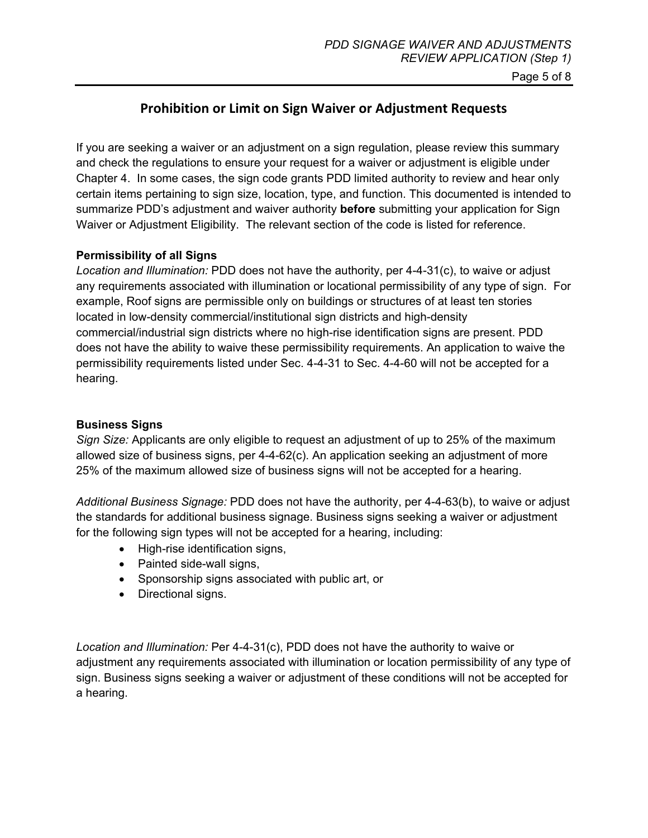Page 5 of 8

### **Prohibition or Limit on Sign Waiver or Adjustment Requests**

If you are seeking a waiver or an adjustment on a sign regulation, please review this summary and check the regulations to ensure your request for a waiver or adjustment is eligible under Chapter 4. In some cases, the sign code grants PDD limited authority to review and hear only certain items pertaining to sign size, location, type, and function. This documented is intended to summarize PDD's adjustment and waiver authority **before** submitting your application for Sign Waiver or Adjustment Eligibility. The relevant section of the code is listed for reference.

#### **Permissibility of all Signs**

*Location and Illumination:* PDD does not have the authority, per 4-4-31(c), to waive or adjust any requirements associated with illumination or locational permissibility of any type of sign. For example, Roof signs are permissible only on buildings or structures of at least ten stories located in low-density commercial/institutional sign districts and high-density commercial/industrial sign districts where no high-rise identification signs are present. PDD does not have the ability to waive these permissibility requirements. An application to waive the permissibility requirements listed under Sec. 4-4-31 to Sec. 4-4-60 will not be accepted for a hearing.

#### **Business Signs**

*Sign Size:* Applicants are only eligible to request an adjustment of up to 25% of the maximum allowed size of business signs, per 4-4-62(c). An application seeking an adjustment of more 25% of the maximum allowed size of business signs will not be accepted for a hearing.

*Additional Business Signage:* PDD does not have the authority, per 4-4-63(b), to waive or adjust the standards for additional business signage. Business signs seeking a waiver or adjustment for the following sign types will not be accepted for a hearing, including:

- High-rise identification signs.
- Painted side-wall signs,
- Sponsorship signs associated with public art, or
- Directional signs.

*Location and Illumination:* Per 4-4-31(c), PDD does not have the authority to waive or adjustment any requirements associated with illumination or location permissibility of any type of sign. Business signs seeking a waiver or adjustment of these conditions will not be accepted for a hearing.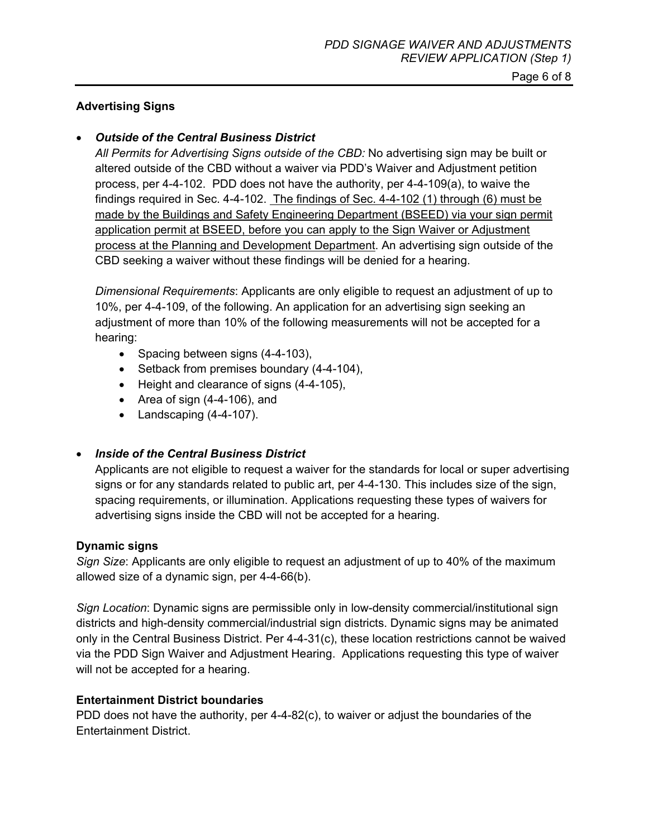#### **Advertising Signs**

#### • *Outside of the Central Business District*

*All Permits for Advertising Signs outside of the CBD:* No advertising sign may be built or altered outside of the CBD without a waiver via PDD's Waiver and Adjustment petition process, per 4-4-102. PDD does not have the authority, per 4-4-109(a), to waive the findings required in Sec. 4-4-102. The findings of Sec. 4-4-102 (1) through (6) must be made by the Buildings and Safety Engineering Department (BSEED) via your sign permit application permit at BSEED, before you can apply to the Sign Waiver or Adjustment process at the Planning and Development Department. An advertising sign outside of the CBD seeking a waiver without these findings will be denied for a hearing.

*Dimensional Requirements*: Applicants are only eligible to request an adjustment of up to 10%, per 4-4-109, of the following. An application for an advertising sign seeking an adjustment of more than 10% of the following measurements will not be accepted for a hearing:

- Spacing between signs (4-4-103),
- Setback from premises boundary (4-4-104),
- Height and clearance of signs (4-4-105),
- Area of sign (4-4-106), and
- Landscaping (4-4-107).

#### • *Inside of the Central Business District*

Applicants are not eligible to request a waiver for the standards for local or super advertising signs or for any standards related to public art, per 4-4-130. This includes size of the sign, spacing requirements, or illumination. Applications requesting these types of waivers for advertising signs inside the CBD will not be accepted for a hearing.

#### **Dynamic signs**

*Sign Size*: Applicants are only eligible to request an adjustment of up to 40% of the maximum allowed size of a dynamic sign, per 4-4-66(b).

*Sign Location*: Dynamic signs are permissible only in low-density commercial/institutional sign districts and high-density commercial/industrial sign districts. Dynamic signs may be animated only in the Central Business District. Per 4-4-31(c), these location restrictions cannot be waived via the PDD Sign Waiver and Adjustment Hearing. Applications requesting this type of waiver will not be accepted for a hearing.

#### **Entertainment District boundaries**

PDD does not have the authority, per 4-4-82(c), to waiver or adjust the boundaries of the Entertainment District.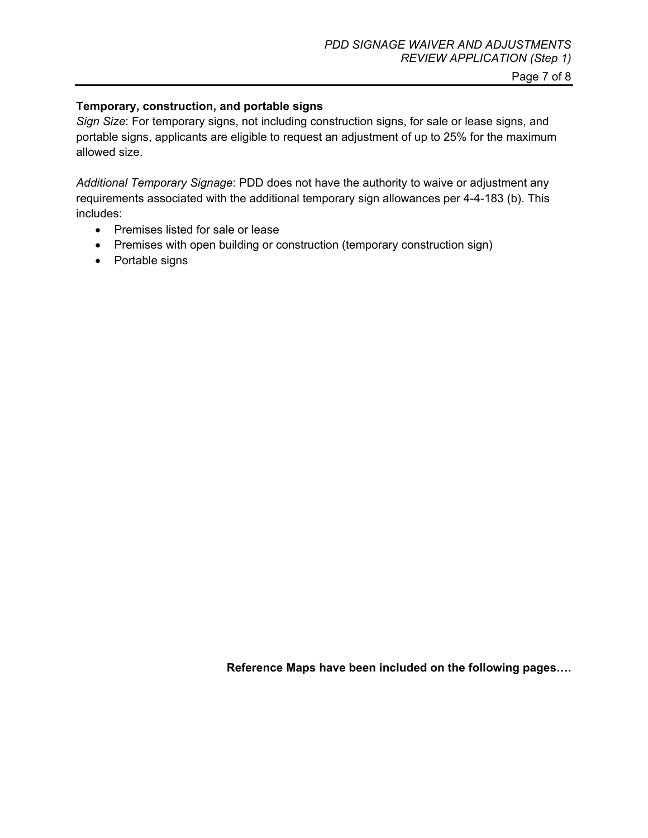#### Page 7 of 8

#### **Temporary, construction, and portable signs**

*Sign Size*: For temporary signs, not including construction signs, for sale or lease signs, and portable signs, applicants are eligible to request an adjustment of up to 25% for the maximum allowed size.

*Additional Temporary Signage*: PDD does not have the authority to waive or adjustment any requirements associated with the additional temporary sign allowances per 4-4-183 (b). This includes:

- Premises listed for sale or lease
- Premises with open building or construction (temporary construction sign)
- Portable signs

**Reference Maps have been included on the following pages….**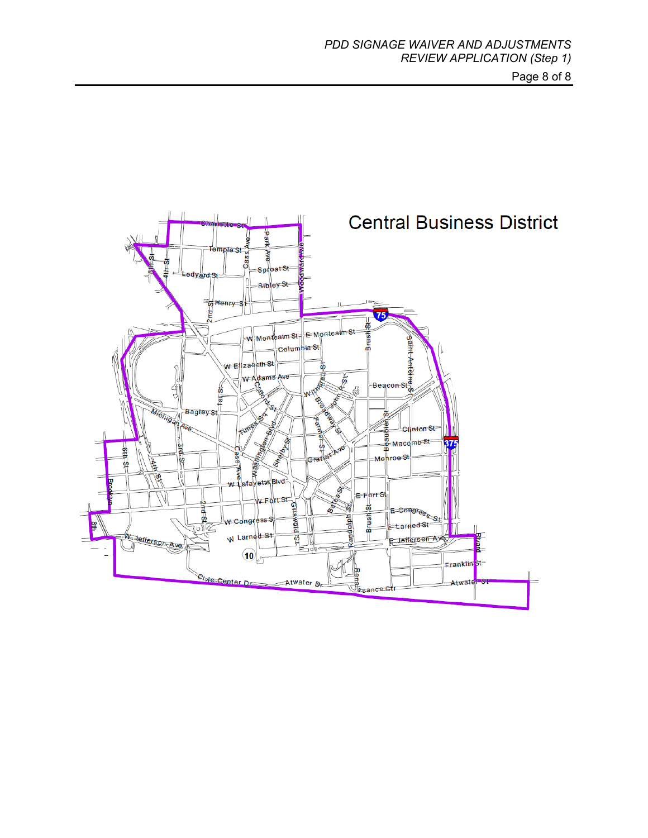